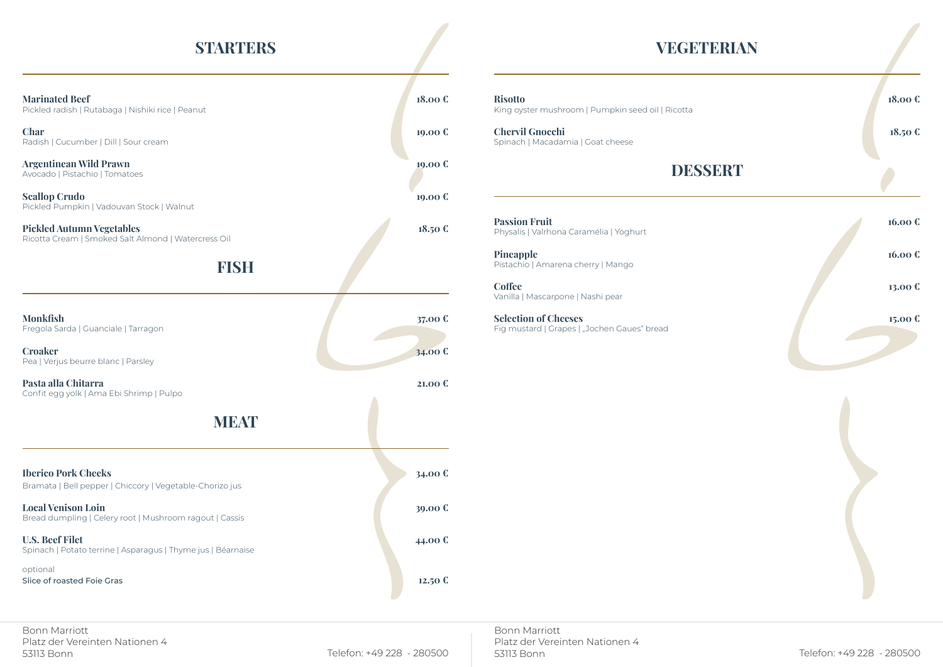## **STARTERS**

### **Marinated Beef 18.00 €**

Pickled radish | Rutabaga | Nishiki rice | Peanut

**Char 19.00 €** Radish | Cucumber | Dill | Sour cream

# Bramata | Bell pepper | Ch

### **Risotto 18.00 €** ng oyster mushroom | Pumpkin seed oil | Ricotta

**Chervil Gnocchi 18.50 €** inach | Macadamia | Goat cheese

 $\qquad \qquad$  **Coffee 13.00 €** Vanilla | Mascarpone | Nashi pear

**Selection of Cheeses 15.00 €** Fig mustard | Grapes | "Jochen Gaues" bread

## **VEGETERIAN**

## **DESSERT**

**Passion Fruit 16.00 €** Physalis | Valrhona Caramélia | Yoghurt

**Pineapple 16.00 €** Pistachio | Amarena cherry | Mango

| <b>Argentinean Wild Prawn</b><br>Avocado   Pistachio   Tomatoes<br><b>Scallop Crudo</b><br>Pickled Pumpkin   Vadouvan Stock   Walnut | 19.00€<br>19.00 € |
|--------------------------------------------------------------------------------------------------------------------------------------|-------------------|
| <b>Pickled Autumn Vegetables</b><br>Ricotta Cream   Smoked Salt Almond   Watercress Oil                                              | 18.50€            |
| <b>FISH</b>                                                                                                                          |                   |
| <b>Monkfish</b><br>Fregola Sarda   Guanciale   Tarragon                                                                              | 37.00 €           |
| <b>Croaker</b><br>Pea   Verjus beurre blanc   Parsley                                                                                | 34.00€            |
| Pasta alla Chitarra<br>Confit egg yolk   Ama Ebi Shrimp   Pulpo                                                                      | 21.00 €           |
| <b>MEAT</b>                                                                                                                          |                   |
| <b>Iberico Pork Cheeks</b><br>Bramata   Bell pepper   Chiccory   Vegetable-Chorizo jus                                               | 34.00 €           |
| <b>Local Venison Loin</b><br>Bread dumpling   Celery root   Mushroom ragout   Cassis                                                 | 39.00€            |
| <b>U.S. Beef Filet</b><br>Spinach I Potato terrine I Asparagus I Thyme ius I Réarnaise                                               | 44.00€            |

| J vv. | лть<br>Kin |
|-------|------------|
| .00 € | Ch<br>Spi  |
| .00€  |            |

## Spinach | Potato terrine | Asparagus | Thyme jus | Béarnaise

optional Slice of roasted Foie Gras **12.50 €**

Bonn Marriott Platz der Vereinten Nationen 4 53113 Bonn Telefon: +49 228 - 280500